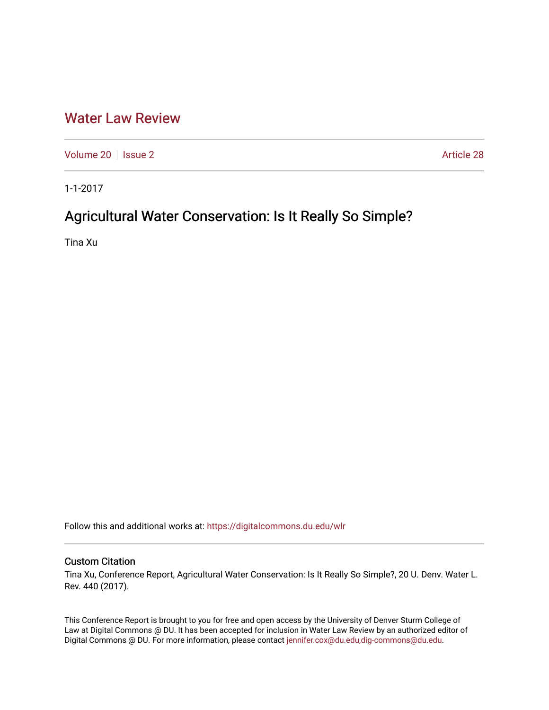# [Water Law Review](https://digitalcommons.du.edu/wlr)

[Volume 20](https://digitalcommons.du.edu/wlr/vol20) | [Issue 2](https://digitalcommons.du.edu/wlr/vol20/iss2) Article 28

1-1-2017

# Agricultural Water Conservation: Is It Really So Simple?

Tina Xu

Follow this and additional works at: [https://digitalcommons.du.edu/wlr](https://digitalcommons.du.edu/wlr?utm_source=digitalcommons.du.edu%2Fwlr%2Fvol20%2Fiss2%2F28&utm_medium=PDF&utm_campaign=PDFCoverPages) 

# Custom Citation

Tina Xu, Conference Report, Agricultural Water Conservation: Is It Really So Simple?, 20 U. Denv. Water L. Rev. 440 (2017).

This Conference Report is brought to you for free and open access by the University of Denver Sturm College of Law at Digital Commons @ DU. It has been accepted for inclusion in Water Law Review by an authorized editor of Digital Commons @ DU. For more information, please contact [jennifer.cox@du.edu,dig-commons@du.edu](mailto:jennifer.cox@du.edu,dig-commons@du.edu).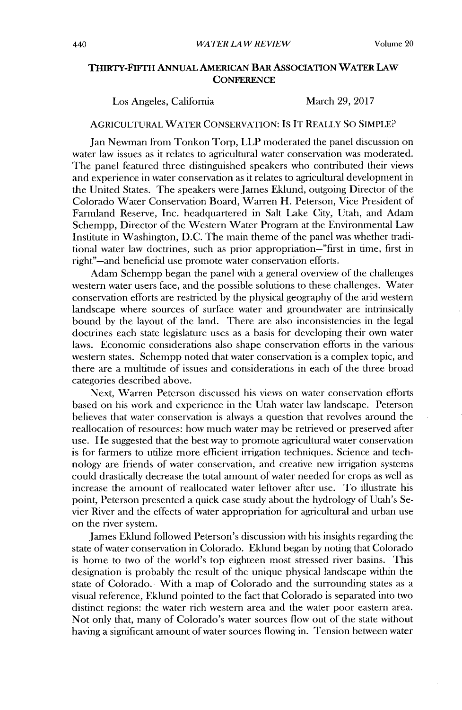# **THIRTY-FIFTH ANNuAL AMERICAN BAR ASSOCIATION WATER LAW CONFERENCE**

### Los Angeles, California March **29, 2017**

#### **AGRICULTURAL WATER CONSERVATION: IS** IT REALLY **So** SIMPLE?

Jan Newman from Tonkon Torp, LLP moderated the panel discussion on water law issues as it relates to agricultural water conservation was moderated. The panel featured three distinguished speakers who contributed their views and experience in water conservation as it relates to agricultural development in the United States. The speakers were James Eklund, outgoing Director of the Colorado Water Conservation Board, Warren H. Peterson, Vice President of Farmland Reserve, Inc. headquartered in Salt Lake City, Utah, and Adam Schempp, Director of the Western Water Program at the Environmental Law Institute in Washington, **D.C.** The main theme of the panel was whether traditional water law doctrines, such as prior appropriation-"first in time, first in right"-and beneficial use promote water conservation efforts.

Adam Schempp began the panel **with** a general overview of the challenges western water users face, and the possible solutions to these challenges. Water conservation efforts are restricted **by** the physical geography of the arid western landscape where sources of surface water and groundwater are intrinsically bound **by** the layout of the land. There are also inconsistencies **in** the legal doctrines each state legislature uses as a basis for developing their own water laws. Economic considerations also shape conservation efforts in the various western states. Schempp noted that water conservation is a complex topic, and there are a multitude of issues and considerations in each of the three broad categories described above.

Next, Warren Peterson discussed his views on water conservation efforts based on his work and experience in the Utah water law landscape. Peterson believes that water conservation is always a question that revolves around the reallocation of resources: how much water may be retrieved or preserved after use. He suggested that the best way to promote agricultural water conservation is for farmers to utilize more efficient irrigation techniques. Science and technology are friends of water conservation, and creative new irigation systems could drastically decrease the total amount of water needed for crops as well as increase the amount of reallocated water leftover after use. To illustrate his point, Peterson presented a quick case study about the hydrology of Utah's Sevier River and the effects of water appropriation for agricultural and urban use on the river system.

James Eklund followed Peterson's discussion **with** his insights regarding the state of water conservation in Colorado. Eklund began **by** noting that Colorado is home to two of the world's top eighteen most stressed river basins. This designation is probably the result of the unique physical landscape within the state of Colorado. With a map of Colorado and the surrounding states as a visual reference, Eklund pointed to the fact that Colorado is separated into two distinct regions: the water rich western area and the water poor eastern area. Not only that, many of Colorado's water sources flow out of the state without having a significant amount of water sources flowing **in.** Tension between water